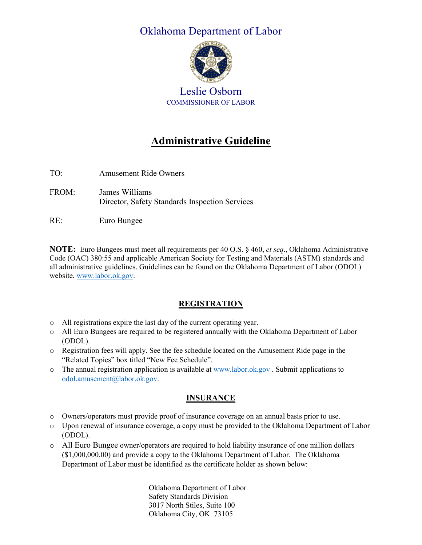# Oklahoma Department of Labor



Leslie Osborn COMMISSIONER OF LABOR

# **Administrative Guideline**

TO: Amusement Ride Owners FROM: James Williams Director, Safety Standards Inspection Services

RE: Euro Bungee

**NOTE:** Euro Bungees must meet all requirements per 40 O.S. § 460, *et seq*., Oklahoma Administrative Code (OAC) 380:55 and applicable American Society for Testing and Materials (ASTM) standards and all administrative guidelines. Guidelines can be found on the Oklahoma Department of Labor (ODOL) website, [www.labor.ok.gov.](http://www.labor.ok.gov/)

# **REGISTRATION**

- o All registrations expire the last day of the current operating year.
- o All Euro Bungees are required to be registered annually with the Oklahoma Department of Labor (ODOL).
- o Registration fees will apply. See the fee schedule located on the Amusement Ride page in the "Related Topics" box titled "New Fee Schedule".
- $\circ$  The annual registration application is available a[t www.labor.ok.gov](http://www.labor.ok.gov/) . Submit applications to [odol.amusement@labor.ok.gov.](mailto:odol.amusement@labor.ok.gov)

# **INSURANCE**

- o Owners/operators must provide proof of insurance coverage on an annual basis prior to use.
- o Upon renewal of insurance coverage, a copy must be provided to the Oklahoma Department of Labor (ODOL).
- o All Euro Bungee owner/operators are required to hold liability insurance of one million dollars (\$1,000,000.00) and provide a copy to the Oklahoma Department of Labor. The Oklahoma Department of Labor must be identified as the certificate holder as shown below:

Oklahoma Department of Labor Safety Standards Division 3017 North Stiles, Suite 100 Oklahoma City, OK 73105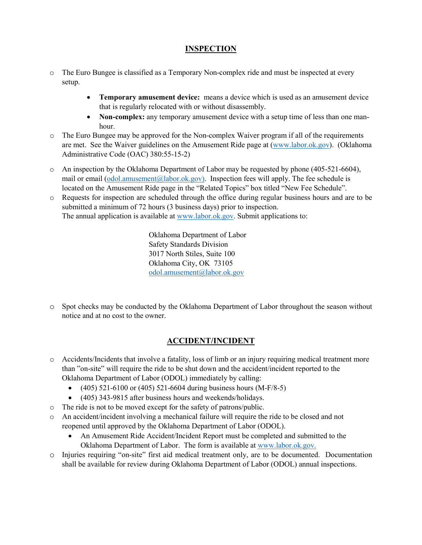### **INSPECTION**

- o The Euro Bungee is classified as a Temporary Non-complex ride and must be inspected at every setup.
	- **Temporary amusement device:** means a device which is used as an amusement device that is regularly relocated with or without disassembly.
	- **Non-complex:** any temporary amusement device with a setup time of less than one manhour.
- o The Euro Bungee may be approved for the Non-complex Waiver program if all of the requirements are met. See the Waiver guidelines on the Amusement Ride page at [\(www.labor.ok.gov\)](http://www.labor.ok.gov/). (Oklahoma Administrative Code (OAC) 380:55-15-2)
- o An inspection by the Oklahoma Department of Labor may be requested by phone (405-521-6604), mail or email [\(odol.amusement@labor.ok.gov\)](mailto:odol.amusement@labor.ok.gov). Inspection fees will apply. The fee schedule is located on the Amusement Ride page in the "Related Topics" box titled "New Fee Schedule".
- o Requests for inspection are scheduled through the office during regular business hours and are to be submitted a minimum of 72 hours (3 business days) prior to inspection. The annual application is available at [www.labor.ok.gov.](http://www.labor.ok.gov/) Submit applications to:

Oklahoma Department of Labor Safety Standards Division 3017 North Stiles, Suite 100 Oklahoma City, OK 73105 [odol.amusement@labor.ok.gov](mailto:odol.amusement@labor.ok.gov)

o Spot checks may be conducted by the Oklahoma Department of Labor throughout the season without notice and at no cost to the owner.

### **ACCIDENT/INCIDENT**

- o Accidents/Incidents that involve a fatality, loss of limb or an injury requiring medical treatment more than "on-site" will require the ride to be shut down and the accident/incident reported to the Oklahoma Department of Labor (ODOL) immediately by calling:
	- $(405)$  521-6100 or  $(405)$  521-6604 during business hours  $(M-F/8-5)$
	- (405) 343-9815 after business hours and weekends/holidays.
- o The ride is not to be moved except for the safety of patrons/public.
- o An accident/incident involving a mechanical failure will require the ride to be closed and not reopened until approved by the Oklahoma Department of Labor (ODOL).
	- An Amusement Ride Accident/Incident Report must be completed and submitted to the Oklahoma Department of Labor. The form is available at [www.labor.ok.gov.](http://www.labor.ok.gov/)
- o Injuries requiring "on-site" first aid medical treatment only, are to be documented. Documentation shall be available for review during Oklahoma Department of Labor (ODOL) annual inspections.